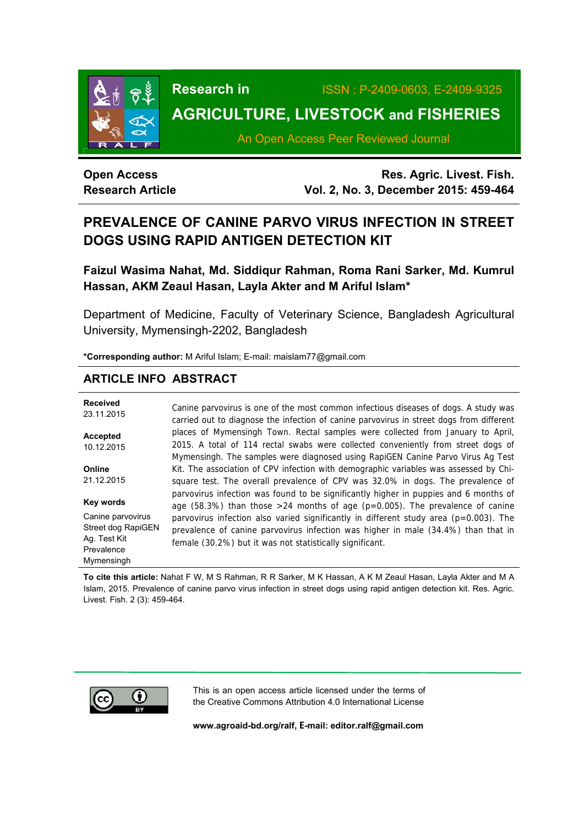

**Research in** ISSN : P-2409-0603, E-2409-9325 **AGRICULTURE, LIVESTOCK and FISHERIES** 

An Open Access Peer Reviewed Journal

# **Open Access Research Article**

**Res. Agric. Livest. Fish. Vol. 2, No. 3, December 2015: 459-464**

# **PREVALENCE OF CANINE PARVO VIRUS INFECTION IN STREET DOGS USING RAPID ANTIGEN DETECTION KIT**

**Faizul Wasima Nahat, Md. Siddiqur Rahman, Roma Rani Sarker, Md. Kumrul Hassan, AKM Zeaul Hasan, Layla Akter and M Ariful Islam\*** 

Department of Medicine, Faculty of Veterinary Science, Bangladesh Agricultural University, Mymensingh-2202, Bangladesh

**\*Corresponding author:** M Ariful Islam; E-mail: maislam77@gmail.com

# **ARTICLE INFO ABSTRACT**

| <b>Received</b><br>23.11.2015                                                       | Canine parvovirus is one of the most common infectious diseases of dogs. A study was<br>carried out to diagnose the infection of canine parvovirus in street dogs from different<br>places of Mymensingh Town. Rectal samples were collected from January to April,<br>2015. A total of 114 rectal swabs were collected conveniently from street dogs of<br>Mymensingh. The samples were diagnosed using RapiGEN Canine Parvo Virus Ag Test |  |  |  |  |
|-------------------------------------------------------------------------------------|---------------------------------------------------------------------------------------------------------------------------------------------------------------------------------------------------------------------------------------------------------------------------------------------------------------------------------------------------------------------------------------------------------------------------------------------|--|--|--|--|
| Accepted<br>10.12.2015                                                              |                                                                                                                                                                                                                                                                                                                                                                                                                                             |  |  |  |  |
| Online<br>21.12.2015                                                                | Kit. The association of CPV infection with demographic variables was assessed by Chi-<br>square test. The overall prevalence of CPV was 32.0% in dogs. The prevalence of                                                                                                                                                                                                                                                                    |  |  |  |  |
| Key words                                                                           | parvovirus infection was found to be significantly higher in puppies and 6 months of<br>age (58.3%) than those >24 months of age ( $p=0.005$ ). The prevalence of canine                                                                                                                                                                                                                                                                    |  |  |  |  |
| Canine parvovirus<br>Street dog RapiGEN<br>Ag. Test Kit<br>Prevalence<br>Mymensingh | parvovirus infection also varied significantly in different study area ( $p=0.003$ ). The<br>prevalence of canine parvovirus infection was higher in male (34.4%) than that in<br>female (30.2%) but it was not statistically significant.                                                                                                                                                                                                  |  |  |  |  |

**To cite this article:** Nahat F W, M S Rahman, R R Sarker, M K Hassan, A K M Zeaul Hasan, Layla Akter and M A Islam, 2015. Prevalence of canine parvo virus infection in street dogs using rapid antigen detection kit. Res. Agric. Livest. Fish. 2 (3): 459-464.



This is an open access article licensed under the terms of the Creative Commons Attribution 4.0 International License

**www.agroaid-bd.org/ralf, E-mail: editor.ralf@gmail.com**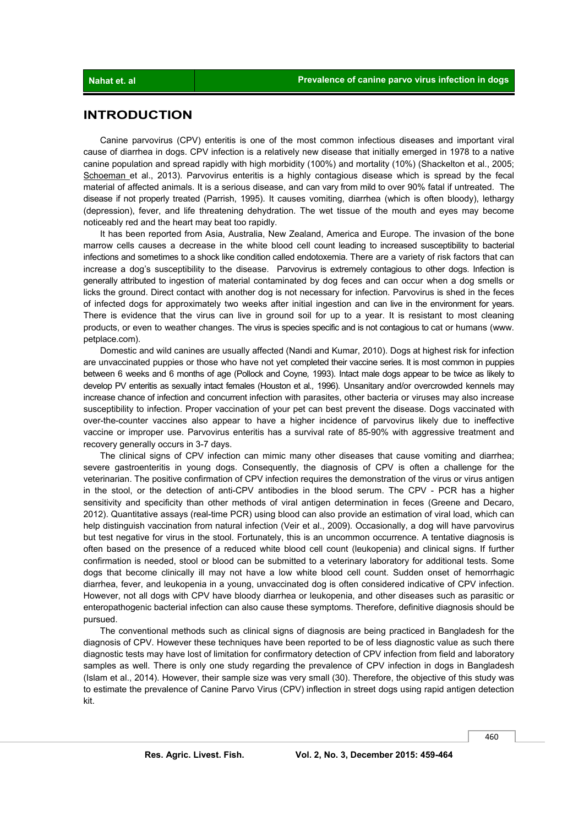# **INTRODUCTION**

 Canine parvovirus (CPV) enteritis is one of the most common infectious diseases and important viral cause of diarrhea in dogs. CPV infection is a relatively new disease that initially emerged in 1978 to a native canine population and spread rapidly with high morbidity (100%) and mortality (10%) (Shackelton et al., 2005; Schoeman et al., 2013). Parvovirus enteritis is a highly contagious disease which is spread by the fecal material of affected animals. It is a serious disease, and can vary from mild to over 90% fatal if untreated. The disease if not properly treated (Parrish, 1995). It causes vomiting, diarrhea (which is often bloody), lethargy (depression), fever, and life threatening dehydration. The wet tissue of the mouth and eyes may become noticeably red and the heart may beat too rapidly.

 It has been reported from Asia, Australia, New Zealand, America and Europe. The invasion of the bone marrow cells causes a decrease in the white blood cell count leading to increased susceptibility to bacterial infections and sometimes to a shock like condition called endotoxemia. There are a variety of risk factors that can increase a dog's susceptibility to the disease. Parvovirus is extremely contagious to other dogs. Infection is generally attributed to ingestion of material contaminated by dog feces and can occur when a dog smells or licks the ground. Direct contact with another dog is not necessary for infection. Parvovirus is shed in the feces of infected dogs for approximately two weeks after initial ingestion and can live in the environment for years. There is evidence that the virus can live in ground soil for up to a year. It is resistant to most cleaning products, or even to weather changes. The virus is species specific and is not contagious to cat or humans (www. petplace.com).

 Domestic and wild canines are usually affected (Nandi and Kumar, 2010). Dogs at highest risk for infection are unvaccinated puppies or those who have not yet completed their vaccine series. It is most common in puppies between 6 weeks and 6 months of age (Pollock and Coyne*,* 1993). Intact male dogs appear to be twice as likely to develop PV enteritis as sexually intact females (Houston et al*.,* 1996). Unsanitary and/or overcrowded kennels may increase chance of infection and concurrent infection with parasites, other bacteria or viruses may also increase susceptibility to infection. Proper vaccination of your pet can best prevent the disease. Dogs vaccinated with over-the-counter vaccines also appear to have a higher incidence of parvovirus likely due to ineffective vaccine or improper use. Parvovirus enteritis has a survival rate of 85-90% with aggressive treatment and recovery generally occurs in 3-7 days.

 The clinical signs of CPV infection can mimic many other diseases that cause vomiting and diarrhea; severe gastroenteritis in young dogs. Consequently, the diagnosis of CPV is often a challenge for the veterinarian. The positive confirmation of CPV infection requires the demonstration of the virus or virus antigen in the stool, or the detection of anti-CPV antibodies in the blood serum. The CPV - PCR has a higher sensitivity and specificity than other methods of viral antigen determination in feces (Greene and Decaro, 2012). Quantitative assays (real-time PCR) using blood can also provide an estimation of viral load, which can help distinguish vaccination from natural infection (Veir et al., 2009). Occasionally, a dog will have parvovirus but test negative for virus in the stool. Fortunately, this is an uncommon occurrence. A tentative diagnosis is often based on the presence of a reduced white blood cell count (leukopenia) and clinical signs. If further confirmation is needed, stool or blood can be submitted to a veterinary laboratory for additional tests. Some dogs that become clinically ill may not have a low white blood cell count. Sudden onset of hemorrhagic diarrhea, fever, and leukopenia in a young, unvaccinated dog is often considered indicative of CPV infection. However, not all dogs with CPV have bloody diarrhea or leukopenia, and other diseases such as parasitic or enteropathogenic bacterial infection can also cause these symptoms. Therefore, definitive diagnosis should be pursued.

 The conventional methods such as clinical signs of diagnosis are being practiced in Bangladesh for the diagnosis of CPV. However these techniques have been reported to be of less diagnostic value as such there diagnostic tests may have lost of limitation for confirmatory detection of CPV infection from field and laboratory samples as well. There is only one study regarding the prevalence of CPV infection in dogs in Bangladesh (Islam et al., 2014). However, their sample size was very small (30). Therefore, the objective of this study was to estimate the prevalence of Canine Parvo Virus (CPV) inflection in street dogs using rapid antigen detection kit.

460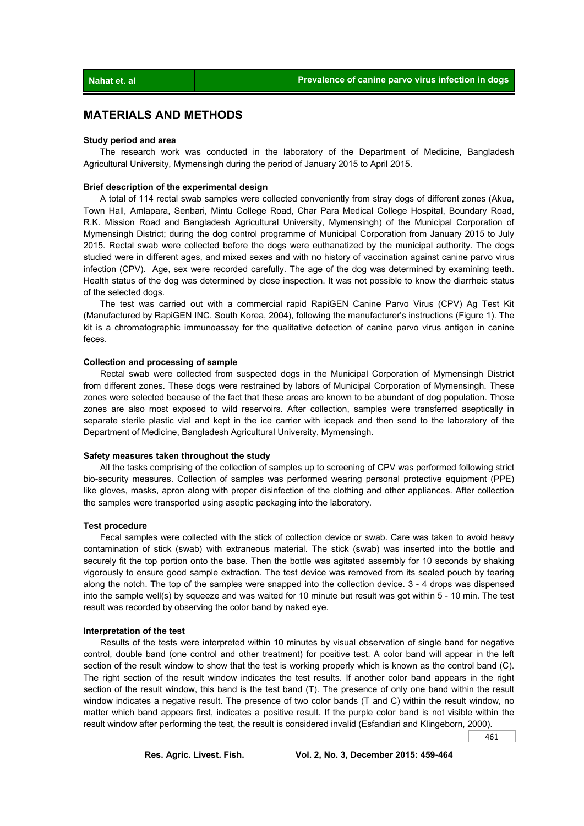# **MATERIALS AND METHODS**

#### **Study period and area**

 The research work was conducted in the laboratory of the Department of Medicine, Bangladesh Agricultural University, Mymensingh during the period of January 2015 to April 2015.

#### **Brief description of the experimental design**

 A total of 114 rectal swab samples were collected conveniently from stray dogs of different zones (Akua, Town Hall, Amlapara, Senbari, Mintu College Road, Char Para Medical College Hospital, Boundary Road, R.K. Mission Road and Bangladesh Agricultural University, Mymensingh) of the Municipal Corporation of Mymensingh District; during the dog control programme of Municipal Corporation from January 2015 to July 2015. Rectal swab were collected before the dogs were euthanatized by the municipal authority. The dogs studied were in different ages, and mixed sexes and with no history of vaccination against canine parvo virus infection (CPV). Age, sex were recorded carefully. The age of the dog was determined by examining teeth. Health status of the dog was determined by close inspection. It was not possible to know the diarrheic status of the selected dogs.

 The test was carried out with a commercial rapid RapiGEN Canine Parvo Virus (CPV) Ag Test Kit (Manufactured by RapiGEN INC. South Korea, 2004), following the manufacturer's instructions (Figure 1). The kit is a chromatographic immunoassay for the qualitative detection of canine parvo virus antigen in canine feces.

#### **Collection and processing of sample**

 Rectal swab were collected from suspected dogs in the Municipal Corporation of Mymensingh District from different zones. These dogs were restrained by labors of Municipal Corporation of Mymensingh. These zones were selected because of the fact that these areas are known to be abundant of dog population. Those zones are also most exposed to wild reservoirs. After collection, samples were transferred aseptically in separate sterile plastic vial and kept in the ice carrier with icepack and then send to the laboratory of the Department of Medicine, Bangladesh Agricultural University, Mymensingh.

#### **Safety measures taken throughout the study**

 All the tasks comprising of the collection of samples up to screening of CPV was performed following strict bio-security measures. Collection of samples was performed wearing personal protective equipment (PPE) like gloves, masks, apron along with proper disinfection of the clothing and other appliances. After collection the samples were transported using aseptic packaging into the laboratory.

#### **Test procedure**

 Fecal samples were collected with the stick of collection device or swab. Care was taken to avoid heavy contamination of stick (swab) with extraneous material. The stick (swab) was inserted into the bottle and securely fit the top portion onto the base. Then the bottle was agitated assembly for 10 seconds by shaking vigorously to ensure good sample extraction. The test device was removed from its sealed pouch by tearing along the notch. The top of the samples were snapped into the collection device. 3 - 4 drops was dispensed into the sample well(s) by squeeze and was waited for 10 minute but result was got within 5 - 10 min. The test result was recorded by observing the color band by naked eye.

#### **Interpretation of the test**

 Results of the tests were interpreted within 10 minutes by visual observation of single band for negative control, double band (one control and other treatment) for positive test. A color band will appear in the left section of the result window to show that the test is working properly which is known as the control band (C). The right section of the result window indicates the test results. If another color band appears in the right section of the result window, this band is the test band (T). The presence of only one band within the result window indicates a negative result. The presence of two color bands (T and C) within the result window, no matter which band appears first, indicates a positive result. If the purple color band is not visible within the result window after performing the test, the result is considered invalid (Esfandiari and Klingeborn, 2000).

461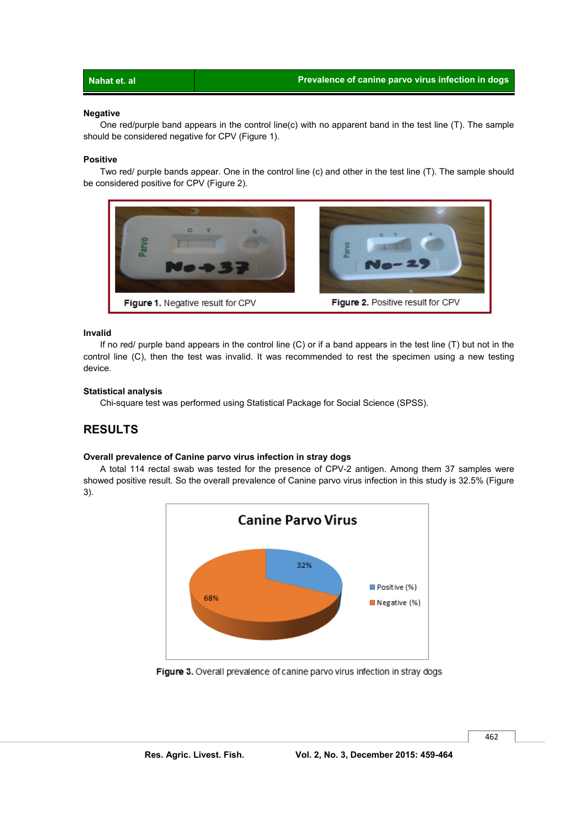#### **Negative**

 One red/purple band appears in the control line(c) with no apparent band in the test line (T). The sample should be considered negative for CPV (Figure 1).

#### **Positive**

 Two red/ purple bands appear. One in the control line (c) and other in the test line (T). The sample should be considered positive for CPV (Figure 2).



#### **Invalid**

 If no red/ purple band appears in the control line (C) or if a band appears in the test line (T) but not in the control line (C), then the test was invalid. It was recommended to rest the specimen using a new testing device.

### **Statistical analysis**

Chi-square test was performed using Statistical Package for Social Science (SPSS).

## **RESULTS**

#### **Overall prevalence of Canine parvo virus infection in stray dogs**

 A total 114 rectal swab was tested for the presence of CPV-2 antigen. Among them 37 samples were showed positive result. So the overall prevalence of Canine parvo virus infection in this study is 32.5% (Figure 3).



Figure 3. Overall prevalence of canine parvo virus infection in stray dogs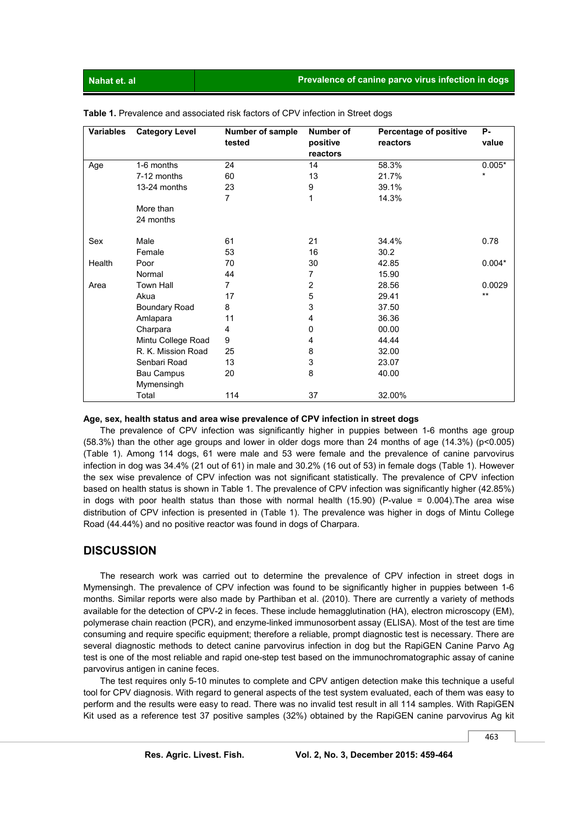#### **Nahat et. al Prevalence of canine parvo virus infection in dogs**

| <b>Variables</b> | <b>Category Level</b> | Number of sample | Number of | <b>Percentage of positive</b> | <b>P-</b> |
|------------------|-----------------------|------------------|-----------|-------------------------------|-----------|
|                  |                       | tested           | positive  | reactors                      | value     |
|                  |                       |                  | reactors  |                               |           |
| Age              | 1-6 months            | 24               | 14        | 58.3%                         | $0.005*$  |
|                  | 7-12 months           | 60               | 13        | 21.7%                         | $\star$   |
|                  | 13-24 months          | 23               | 9         | 39.1%                         |           |
|                  |                       | 7                | 1         | 14.3%                         |           |
|                  | More than             |                  |           |                               |           |
|                  | 24 months             |                  |           |                               |           |
| Sex              | Male                  | 61               | 21        | 34.4%                         | 0.78      |
|                  | Female                | 53               | 16        | 30.2                          |           |
| Health           | Poor                  | 70               | 30        | 42.85                         | $0.004*$  |
|                  | Normal                | 44               | 7         | 15.90                         |           |
| Area             | <b>Town Hall</b>      | 7                | 2         | 28.56                         | 0.0029    |
|                  | Akua                  | 17               | 5         | 29.41                         | $***$     |
|                  | <b>Boundary Road</b>  | 8                | 3         | 37.50                         |           |
|                  | Amlapara              | 11               | 4         | 36.36                         |           |
|                  | Charpara              | 4                | 0         | 00.00                         |           |
|                  | Mintu College Road    | 9                | 4         | 44.44                         |           |
|                  | R. K. Mission Road    | 25               | 8         | 32.00                         |           |
|                  | Senbari Road          | 13               | 3         | 23.07                         |           |
|                  | <b>Bau Campus</b>     | 20               | 8         | 40.00                         |           |
|                  | Mymensingh            |                  |           |                               |           |
|                  | Total                 | 114              | 37        | 32.00%                        |           |

**Table 1.** Prevalence and associated risk factors of CPV infection in Street dogs

#### **Age, sex, health status and area wise prevalence of CPV infection in street dogs**

 The prevalence of CPV infection was significantly higher in puppies between 1-6 months age group (58.3%) than the other age groups and lower in older dogs more than 24 months of age (14.3%) (p<0.005) (Table 1). Among 114 dogs, 61 were male and 53 were female and the prevalence of canine parvovirus infection in dog was 34.4% (21 out of 61) in male and 30.2% (16 out of 53) in female dogs (Table 1). However the sex wise prevalence of CPV infection was not significant statistically. The prevalence of CPV infection based on health status is shown in Table 1. The prevalence of CPV infection was significantly higher (42.85%) in dogs with poor health status than those with normal health (15.90) (P-value = 0.004).The area wise distribution of CPV infection is presented in (Table 1). The prevalence was higher in dogs of Mintu College Road (44.44%) and no positive reactor was found in dogs of Charpara.

### **DISCUSSION**

 The research work was carried out to determine the prevalence of CPV infection in street dogs in Mymensingh. The prevalence of CPV infection was found to be significantly higher in puppies between 1-6 months. Similar reports were also made by Parthiban et al. (2010). There are currently a variety of methods available for the detection of CPV-2 in feces. These include hemagglutination (HA), electron microscopy (EM), polymerase chain reaction (PCR), and enzyme-linked immunosorbent assay (ELISA). Most of the test are time consuming and require specific equipment; therefore a reliable, prompt diagnostic test is necessary. There are several diagnostic methods to detect canine parvovirus infection in dog but the RapiGEN Canine Parvo Ag test is one of the most reliable and rapid one-step test based on the immunochromatographic assay of canine parvovirus antigen in canine feces.

 The test requires only 5-10 minutes to complete and CPV antigen detection make this technique a useful tool for CPV diagnosis. With regard to general aspects of the test system evaluated, each of them was easy to perform and the results were easy to read. There was no invalid test result in all 114 samples. With RapiGEN Kit used as a reference test 37 positive samples (32%) obtained by the RapiGEN canine parvovirus Ag kit

463